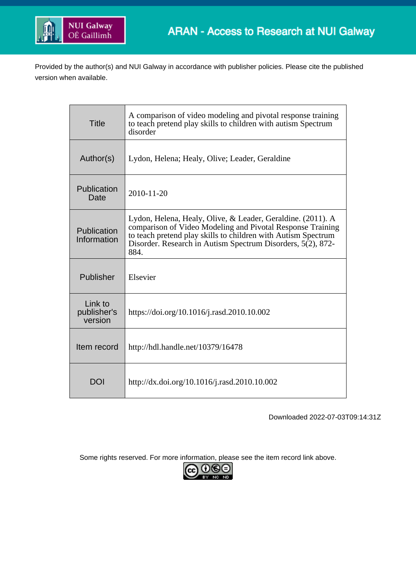

Provided by the author(s) and NUI Galway in accordance with publisher policies. Please cite the published version when available.

| <b>Title</b>                      | A comparison of video modeling and pivotal response training<br>to teach pretend play skills to children with autism Spectrum<br>disorder                                                                                                                         |  |  |  |
|-----------------------------------|-------------------------------------------------------------------------------------------------------------------------------------------------------------------------------------------------------------------------------------------------------------------|--|--|--|
| Author(s)                         | Lydon, Helena; Healy, Olive; Leader, Geraldine                                                                                                                                                                                                                    |  |  |  |
| Publication<br>Date               | 2010-11-20                                                                                                                                                                                                                                                        |  |  |  |
| Publication<br>Information        | Lydon, Helena, Healy, Olive, & Leader, Geraldine. (2011). A<br>comparison of Video Modeling and Pivotal Response Training<br>to teach pretend play skills to children with Autism Spectrum<br>Disorder. Research in Autism Spectrum Disorders, 5(2), 872-<br>884. |  |  |  |
| Publisher                         | Elsevier                                                                                                                                                                                                                                                          |  |  |  |
| Link to<br>publisher's<br>version | https://doi.org/10.1016/j.rasd.2010.10.002                                                                                                                                                                                                                        |  |  |  |
| Item record                       | http://hdl.handle.net/10379/16478                                                                                                                                                                                                                                 |  |  |  |
| DOI                               | http://dx.doi.org/10.1016/j.rasd.2010.10.002                                                                                                                                                                                                                      |  |  |  |

Downloaded 2022-07-03T09:14:31Z

Some rights reserved. For more information, please see the item record link above.

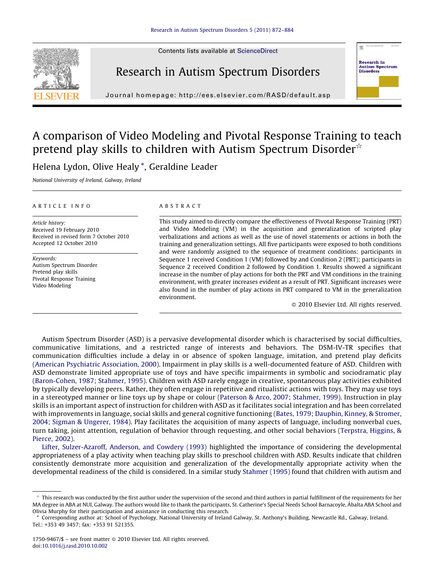Contents lists available at [ScienceDirect](http://www.sciencedirect.com/science/journal/17509467)



# Research in Autism Spectrum Disorders

Journal homepage: http://ees.elsevier.com/RASD/default.asp



# A comparison of Video Modeling and Pivotal Response Training to teach pretend play skills to children with Autism Spectrum Disorder $\hat{\sigma}$

Helena Lydon, Olive Healy \*, Geraldine Leader

National University of Ireland, Galway, Ireland

#### ARTICLE INFO

Article history: Received 19 February 2010 Received in revised form 7 October 2010 Accepted 12 October 2010

Keywords: Autism Spectrum Disorder Pretend play skills Pivotal Response Training Video Modeling

## ABSTRACT

This study aimed to directly compare the effectiveness of Pivotal Response Training (PRT) and Video Modeling (VM) in the acquisition and generalization of scripted play verbalizations and actions as well as the use of novel statements or actions in both the training and generalization settings. All five participants were exposed to both conditions and were randomly assigned to the sequence of treatment conditions: participants in Sequence 1 received Condition 1 (VM) followed by and Condition 2 (PRT); participants in Sequence 2 received Condition 2 followed by Condition 1. Results showed a significant increase in the number of play actions for both the PRT and VM conditions in the training environment, with greater increases evident as a result of PRT. Significant increases were also found in the number of play actions in PRT compared to VM in the generalization environment.

- 2010 Elsevier Ltd. All rights reserved.

Autism Spectrum Disorder (ASD) is a pervasive developmental disorder which is characterised by social difficulties, communicative limitations, and a restricted range of interests and behaviors. The DSM-IV-TR specifies that communication difficulties include a delay in or absence of spoken language, imitation, and pretend play deficits [\(American Psychiatric Association, 2000\)](#page-12-0). Impairment in play skills is a well-documented feature of ASD. Children with ASD demonstrate limited appropriate use of toys and have specific impairments in symbolic and sociodramatic play [\(Baron-Cohen, 1987; Stahmer, 1995\)](#page-12-0). Children with ASD rarely engage in creative, spontaneous play activities exhibited by typically developing peers. Rather, they often engage in repetitive and ritualistic actions with toys. They may use toys in a stereotyped manner or line toys up by shape or colour ([Paterson & Arco, 2007; Stahmer, 1999](#page-13-0)). Instruction in play skills is an important aspect of instruction for children with ASD as it facilitates social integration and has been correlated with improvements in language, social skills and general cognitive functioning ([Bates, 1979; Dauphin, Kinney, & Stromer,](#page-12-0) [2004; Sigman & Ungerer, 1984](#page-12-0)). Play facilitates the acquisition of many aspects of language, including nonverbal cues, turn taking, joint attention, regulation of behavior through requesting, and other social behaviors [\(Terpstra, Higgins, &](#page-13-0) [Pierce, 2002](#page-13-0)).

[Lifter, Sulzer-Azaroff, Anderson, and Cowdery \(1993\)](#page-13-0) highlighted the importance of considering the developmental appropriateness of a play activity when teaching play skills to preschool children with ASD. Results indicate that children consistently demonstrate more acquisition and generalization of the developmentally appropriate activity when the developmental readiness of the child is considered. In a similar study [Stahmer \(1995\)](#page-13-0) found that children with autism and

 $*$  This research was conducted by the first author under the supervision of the second and third authors in partial fulfillment of the requirements for her MA degree in ABA at NUI, Galway. The authors would like to thank the participants, St. Catherine's Special Needs School Barnacoyle, Abalta ABA School and Olivia Murphy for their participation and assistance in conducting this research.

<sup>\*</sup> Corresponding author at: School of Psychology, National University of Ireland Galway, St. Anthony's Building, Newcastle Rd., Galway, Ireland. Tel.: +353 49 3457; fax: +353 91 521355.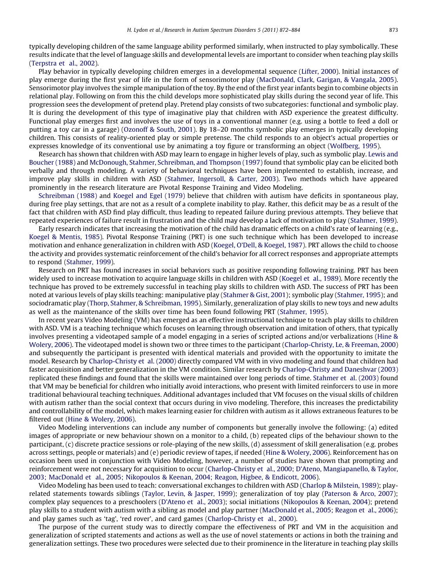typically developing children of the same language ability performed similarly, when instructed to play symbolically. These results indicate that the level of language skills and developmental levels are important to consider when teaching play skills ([Terpstra et al., 2002\)](#page-13-0).

Play behavior in typically developing children emerges in a developmental sequence ([Lifter, 2000\)](#page-13-0). Initial instances of play emerge during the first year of life in the form of sensorimotor play ([MacDonald, Clark, Garigan, & Vangala, 2005](#page-13-0)). Sensorimotor play involves the simple manipulation of the toy. By the end of the first year infants begin to combine objects in relational play. Following on from this the child develops more sophisticated play skills during the second year of life. This progression sees the development of pretend play. Pretend play consists of two subcategories: functional and symbolic play. It is during the development of this type of imaginative play that children with ASD experience the greatest difficulty. Functional play emerges first and involves the use of toys in a conventional manner (e.g. using a bottle to feed a doll or putting a toy car in a garage) ([Ozonoff & South, 2001](#page-13-0)). By 18–20 months symbolic play emerges in typically developing children. This consists of reality-oriented play or simple pretense. The child responds to an object's actual properties or expresses knowledge of its conventional use by animating a toy figure or transforming an object [\(Wolfberg, 1995\)](#page-13-0).

Research has shown that children with ASD may learn to engage in higher levels of play, such as symbolic play. [Lewis and](#page-13-0) [Boucher \(1988\)](#page-13-0) and [McDonough, Stahmer, Schreibman, and Thompson \(1997\)](#page-13-0) found that symbolic play can be elicited both verbally and through modeling. A variety of behavioral techniques have been implemented to establish, increase, and improve play skills in children with ASD ([Stahmer, Ingersoll, & Carter, 2003\)](#page-13-0). Two methods which have appeared prominently in the research literature are Pivotal Response Training and Video Modeling.

[Schreibman \(1988\)](#page-13-0) and [Koegel and Egel \(1979\)](#page-13-0) believe that children with autism have deficits in spontaneous play, during free play settings, that are not as a result of a complete inability to play. Rather, this deficit may be as a result of the fact that children with ASD find play difficult, thus leading to repeated failure during previous attempts. They believe that repeated experiences of failure result in frustration and the child may develop a lack of motivation to play ([Stahmer, 1999](#page-13-0)).

Early research indicates that increasing the motivation of the child has dramatic effects on a child's rate of learning (e.g., [Koegel & Mentis, 1985](#page-13-0)). Pivotal Response Training (PRT) is one such technique which has been developed to increase motivation and enhance generalization in children with ASD ([Koegel, O'Dell, & Koegel, 1987](#page-13-0)). PRT allows the child to choose the activity and provides systematic reinforcement of the child's behavior for all correct responses and appropriate attempts to respond [\(Stahmer, 1999](#page-13-0)).

Research on PRT has found increases in social behaviors such as positive responding following training. PRT has been widely used to increase motivation to acquire language skills in children with ASD [\(Koegel et al., 1989\)](#page-13-0). More recently the technique has proved to be extremely successful in teaching play skills to children with ASD. The success of PRT has been noted at various levels of play skills teaching: manipulative play [\(Stahmer & Gist, 2001](#page-13-0)); symbolic play [\(Stahmer, 1995](#page-13-0)); and sociodramatic play [\(Thorp, Stahmer, & Schreibman, 1995\)](#page-13-0). Similarly, generalization of play skills to new toys and new adults as well as the maintenance of the skills over time has been found following PRT ([Stahmer, 1995\)](#page-13-0).

In recent years Video Modeling (VM) has emerged as an effective instructional technique to teach play skills to children with ASD. VM is a teaching technique which focuses on learning through observation and imitation of others, that typically involves presenting a videotaped sample of a model engaging in a series of scripted actions and/or verbalizations ([Hine &](#page-12-0) [Wolery, 2006\)](#page-12-0). The videotaped model is shown two or three times to the participant ([Charlop-Christy, Le, & Freeman, 2000](#page-12-0)) and subsequently the participant is presented with identical materials and provided with the opportunity to imitate the model. Research by [Charlop-Christy et al. \(2000\)](#page-12-0) directly compared VM with in vivo modeling and found that children had faster acquisition and better generalization in the VM condition. Similar research by [Charlop-Christy and Daneshvar \(2003\)](#page-12-0) replicated these findings and found that the skills were maintained over long periods of time. [Stahmer et al. \(2003\)](#page-13-0) found that VM may be beneficial for children who initially avoid interactions, who present with limited reinforcers to use in more traditional behavioural teaching techniques. Additional advantages included that VM focuses on the visual skills of children with autism rather than the social context that occurs during in vivo modeling. Therefore, this increases the predictability and controllability of the model, which makes learning easier for children with autism as it allows extraneous features to be filtered out ([Hine & Wolery, 2006](#page-12-0)).

Video Modeling interventions can include any number of components but generally involve the following: (a) edited images of appropriate or new behaviour shown on a monitor to a child, (b) repeated clips of the behaviour shown to the participant, (c) discrete practice sessions or role-playing of the new skills, (d) assessment of skill generalisation (e.g. probes across settings, people or materials) and (e) periodic review of tapes, if needed ([Hine & Wolery, 2006\)](#page-12-0). Reinforcement has on occasion been used in conjunction with Video Modeling, however, a number of studies have shown that prompting and reinforcement were not necessary for acquisition to occur ([Charlop-Christy et al., 2000; D'Ateno, Mangiapanello, & Taylor,](#page-12-0) 2003; MacDonald [et al., 2005; Nikopoulos & Keenan, 2004; Reagon, Higbee, & Endicott, 2006](#page-12-0)).

Video Modeling has been used to teach: conversational exchanges to children with ASD [\(Charlop & Milstein, 1989\)](#page-12-0); playrelated statements towards siblings ([Taylor, Levin, & Jasper, 1999](#page-13-0)); generalization of toy play ([Paterson & Arco, 2007](#page-13-0)); complex play sequences to a preschoolers ([D'Ateno et al., 2003](#page-12-0)); social initiations ([Nikopoulos & Keenan, 2004\)](#page-13-0); pretend play skills to a student with autism with a sibling as model and play partner [\(MacDonald et al., 2005; Reagon et al., 2006](#page-13-0)); and play games such as 'tag', 'red rover', and card games ([Charlop-Christy et al., 2000](#page-12-0)).

The purpose of the current study was to directly compare the effectiveness of PRT and VM in the acquisition and generalization of scripted statements and actions as well as the use of novel statements or actions in both the training and generalization settings. These two procedures were selected due to their prominence in the literature in teaching play skills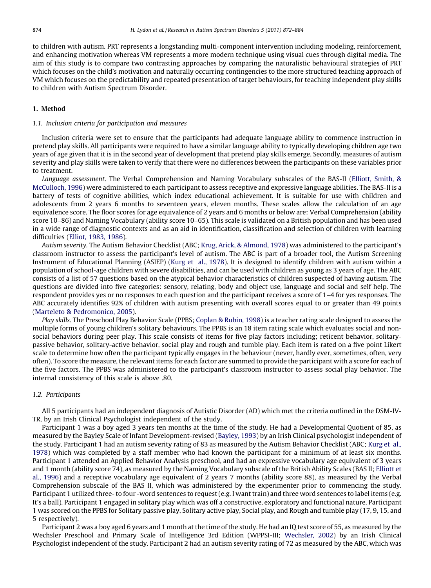to children with autism. PRT represents a longstanding multi-component intervention including modeling, reinforcement, and enhancing motivation whereas VM represents a more modern technique using visual cues through digital media. The aim of this study is to compare two contrasting approaches by comparing the naturalistic behavioural strategies of PRT which focuses on the child's motivation and naturally occurring contingencies to the more structured teaching approach of VM which focuses on the predictability and repeated presentation of target behaviours, for teaching independent play skills to children with Autism Spectrum Disorder.

#### 1. Method

#### 1.1. Inclusion criteria for participation and measures

Inclusion criteria were set to ensure that the participants had adequate language ability to commence instruction in pretend play skills. All participants were required to have a similar language ability to typically developing children age two years of age given that it is in the second year of development that pretend play skills emerge. Secondly, measures of autism severity and play skills were taken to verify that there were no differences between the participants on these variables prior to treatment.

Language assessment. The Verbal Comprehension and Naming Vocabulary subscales of the BAS-II ([Elliott, Smith, &](#page-12-0) [McCulloch, 1996](#page-12-0)) were administered to each participant to assess receptive and expressive language abilities. The BAS-II is a battery of tests of cognitive abilities, which index educational achievement. It is suitable for use with children and adolescents from 2 years 6 months to seventeen years, eleven months. These scales allow the calculation of an age equivalence score. The floor scores for age equivalence of 2 years and 6 months or below are: Verbal Comprehension (ability score 10–86) and Naming Vocabulary (ability score 10–65). This scale is validated on a British population and has been used in a wide range of diagnostic contexts and as an aid in identification, classification and selection of children with learning difficulties [\(Elliot, 1983, 1986](#page-12-0)).

Autism severity. The Autism Behavior Checklist (ABC; [Krug, Arick, & Almond, 1978\)](#page-13-0) was administered to the participant's classroom instructor to assess the participant's level of autism. The ABC is part of a broader tool, the Autism Screening Instrument of Educational Planning (ASIEP) ([Kurg et al., 1978\)](#page-13-0). It is designed to identify children with autism within a population of school-age children with severe disabilities, and can be used with children as young as 3 years of age. The ABC consists of a list of 57 questions based on the atypical behavior characteristics of children suspected of having autism. The questions are divided into five categories: sensory, relating, body and object use, language and social and self help. The respondent provides yes or no responses to each question and the participant receives a score of 1–4 for yes responses. The ABC accurately identifies 92% of children with autism presenting with overall scores equal to or greater than 49 points [\(Marteleto & Pedromonico, 2005](#page-13-0)).

Play skills. The Preschool Play Behavior Scale (PPBS; [Coplan & Rubin, 1998](#page-12-0)) is a teacher rating scale designed to assess the multiple forms of young children's solitary behaviours. The PPBS is an 18 item rating scale which evaluates social and nonsocial behaviors during peer play. This scale consists of items for five play factors including; reticent behavior, solitarypassive behavior, solitary-active behavior, social play and rough and tumble play. Each item is rated on a five point Likert scale to determine how often the participant typically engages in the behaviour (never, hardly ever, sometimes, often, very often). To score the measure, the relevant items for each factor are summed to provide the participant with a score for each of the five factors. The PPBS was administered to the participant's classroom instructor to assess social play behavior. The internal consistency of this scale is above .80.

### 1.2. Participants

All 5 participants had an independent diagnosis of Autistic Disorder (AD) which met the criteria outlined in the DSM-IV-TR, by an Irish Clinical Psychologist independent of the study.

Participant 1 was a boy aged 3 years ten months at the time of the study. He had a Developmental Quotient of 85, as measured by the Bayley Scale of Infant Development-revised [\(Bayley, 1993\)](#page-12-0) by an Irish Clinical psychologist independent of the study. Participant 1 had an autism severity rating of 83 as measured by the Autism Behavior Checklist (ABC; [Kurg et al.,](#page-13-0) [1978](#page-13-0)) which was completed by a staff member who had known the participant for a minimum of at least six months. Participant 1 attended an Applied Behavior Analysis preschool, and had an expressive vocabulary age equivalent of 3 years and 1 month (ability score 74), as measured by the Naming Vocabulary subscale of the British Ability Scales (BAS II; [Elliott et](#page-12-0) [al., 1996](#page-12-0)) and a receptive vocabulary age equivalent of 2 years 7 months (ability score 88), as measured by the Verbal Comprehension subscale of the BAS II, which was administered by the experimenter prior to commencing the study. Participant 1 utilized three- to four -word sentences to request (e.g. I want train) and three word sentences to label items (e.g. It's a ball). Participant 1 engaged in solitary play which was off a constructive, exploratory and functional nature. Participant 1 was scored on the PPBS for Solitary passive play, Solitary active play, Social play, and Rough and tumble play (17, 9, 15, and 5 respectively).

Participant 2 was a boy aged 6 years and 1 month at the time of the study. He had an IQ test score of 55, as measured by the Wechsler Preschool and Primary Scale of Intelligence 3rd Edition (WPPSI-III; [Wechsler, 2002](#page-13-0)) by an Irish Clinical Psychologist independent of the study. Participant 2 had an autism severity rating of 72 as measured by the ABC, which was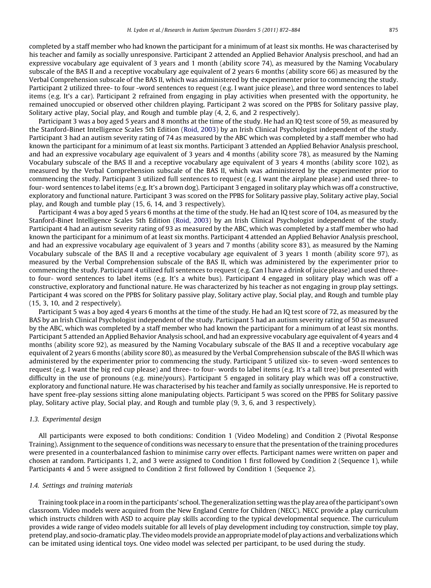completed by a staff member who had known the participant for a minimum of at least six months. He was characterised by his teacher and family as socially unresponsive. Participant 2 attended an Applied Behavior Analysis preschool, and had an expressive vocabulary age equivalent of 3 years and 1 month (ability score 74), as measured by the Naming Vocabulary subscale of the BAS II and a receptive vocabulary age equivalent of 2 years 6 months (ability score 66) as measured by the Verbal Comprehension subscale of the BAS II, which was administered by the experimenter prior to commencing the study. Participant 2 utilized three- to four -word sentences to request (e.g. I want juice please), and three word sentences to label items (e.g. It's a car). Participant 2 refrained from engaging in play activities when presented with the opportunity, he remained unoccupied or observed other children playing. Participant 2 was scored on the PPBS for Solitary passive play, Solitary active play, Social play, and Rough and tumble play (4, 2, 6, and 2 respectively).

Participant 3 was a boy aged 5 years and 8 months at the time of the study. He had an IQ test score of 59, as measured by the Stanford-Binet Intelligence Scales 5th Edition [\(Roid, 2003\)](#page-13-0) by an Irish Clinical Psychologist independent of the study. Participant 3 had an autism severity rating of 74 as measured by the ABC which was completed by a staff member who had known the participant for a minimum of at least six months. Participant 3 attended an Applied Behavior Analysis preschool, and had an expressive vocabulary age equivalent of 3 years and 4 months (ability score 78), as measured by the Naming Vocabulary subscale of the BAS II and a receptive vocabulary age equivalent of 3 years 4 months (ability score 102), as measured by the Verbal Comprehension subscale of the BAS II, which was administered by the experimenter prior to commencing the study. Participant 3 utilized full sentences to request (e.g. I want the airplane please) and used three- to four- word sentences to label items (e.g. It's a brown dog). Participant 3 engaged in solitary play which was off a constructive, exploratory and functional nature. Participant 3 was scored on the PPBS for Solitary passive play, Solitary active play, Social play, and Rough and tumble play (15, 6, 14, and 3 respectively).

Participant 4 was a boy aged 5 years 6 months at the time of the study. He had an IQ test score of 104, as measured by the Stanford-Binet Intelligence Scales 5th Edition ([Roid, 2003\)](#page-13-0) by an Irish Clinical Psychologist independent of the study. Participant 4 had an autism severity rating of 93 as measured by the ABC, which was completed by a staff member who had known the participant for a minimum of at least six months. Participant 4 attended an Applied Behavior Analysis preschool, and had an expressive vocabulary age equivalent of 3 years and 7 months (ability score 83), as measured by the Naming Vocabulary subscale of the BAS II and a receptive vocabulary age equivalent of 3 years 1 month (ability score 97), as measured by the Verbal Comprehension subscale of the BAS II, which was administered by the experimenter prior to commencing the study. Participant 4 utilized full sentences to request (e.g. Can I have a drink of juice please) and used threeto four- word sentences to label items (e.g. It's a white bus). Participant 4 engaged in solitary play which was off a constructive, exploratory and functional nature. He was characterized by his teacher as not engaging in group play settings. Participant 4 was scored on the PPBS for Solitary passive play, Solitary active play, Social play, and Rough and tumble play (15, 3, 10, and 2 respectively).

Participant 5 was a boy aged 4 years 6 months at the time of the study. He had an IQ test score of 72, as measured by the BAS by an Irish Clinical Psychologist independent of the study. Participant 5 had an autism severity rating of 50 as measured by the ABC, which was completed by a staff member who had known the participant for a minimum of at least six months. Participant 5 attended an Applied Behavior Analysis school, and had an expressive vocabulary age equivalent of 4 years and 4 months (ability score 92), as measured by the Naming Vocabulary subscale of the BAS II and a receptive vocabulary age equivalent of 2 years 6 months (ability score 80), as measured by the Verbal Comprehension subscale of the BAS II which was administered by the experimenter prior to commencing the study. Participant 5 utilized six- to seven -word sentences to request (e.g. I want the big red cup please) and three- to four- words to label items (e.g. It's a tall tree) but presented with difficulty in the use of pronouns (e.g. mine/yours). Participant 5 engaged in solitary play which was off a constructive, exploratory and functional nature. He was characterised by his teacher and family as socially unresponsive. He is reported to have spent free-play sessions sitting alone manipulating objects. Participant 5 was scored on the PPBS for Solitary passive play, Solitary active play, Social play, and Rough and tumble play (9, 3, 6, and 3 respectively).

#### 1.3. Experimental design

All participants were exposed to both conditions: Condition 1 (Video Modeling) and Condition 2 (Pivotal Response Training). Assignment to the sequence of conditions was necessary to ensure that the presentation of the training procedures were presented in a counterbalanced fashion to minimise carry over effects. Participant names were written on paper and chosen at random. Participants 1, 2, and 3 were assigned to Condition 1 first followed by Condition 2 (Sequence 1), while Participants 4 and 5 were assigned to Condition 2 first followed by Condition 1 (Sequence 2).

#### 1.4. Settings and training materials

Training took place in a room in the participants' school. The generalization setting was the play area of the participant's own classroom. Video models were acquired from the New England Centre for Children (NECC). NECC provide a play curriculum which instructs children with ASD to acquire play skills according to the typical developmental sequence. The curriculum provides a wide range of video models suitable for all levels of play development including toy construction, simple toy play, pretend play, and socio-dramatic play. The video models provide an appropriatemodel of play actions and verbalizations which can be imitated using identical toys. One video model was selected per participant, to be used during the study.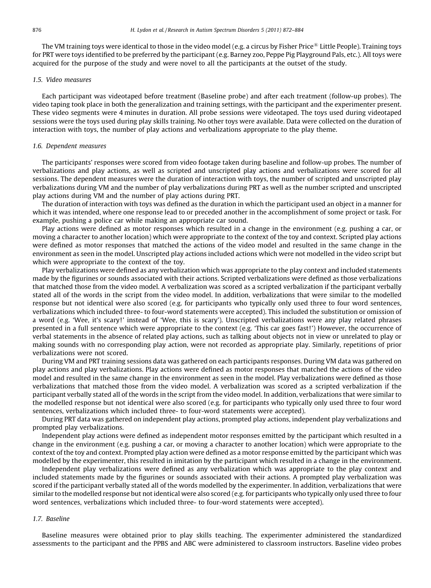The VM training toys were identical to those in the video model (e.g. a circus by Fisher Price<sup>®</sup> Little People). Training toys for PRT were toys identified to be preferred by the participant (e.g. Barney zoo, Peppe Pig Playground Pals, etc.). All toys were acquired for the purpose of the study and were novel to all the participants at the outset of the study.

#### 1.5. Video measures

Each participant was videotaped before treatment (Baseline probe) and after each treatment (follow-up probes). The video taping took place in both the generalization and training settings, with the participant and the experimenter present. These video segments were 4 minutes in duration. All probe sessions were videotaped. The toys used during videotaped sessions were the toys used during play skills training. No other toys were available. Data were collected on the duration of interaction with toys, the number of play actions and verbalizations appropriate to the play theme.

#### 1.6. Dependent measures

The participants' responses were scored from video footage taken during baseline and follow-up probes. The number of verbalizations and play actions, as well as scripted and unscripted play actions and verbalizations were scored for all sessions. The dependent measures were the duration of interaction with toys, the number of scripted and unscripted play verbalizations during VM and the number of play verbalizations during PRT as well as the number scripted and unscripted play actions during VM and the number of play actions during PRT.

The duration of interaction with toys was defined as the duration in which the participant used an object in a manner for which it was intended, where one response lead to or preceded another in the accomplishment of some project or task. For example, pushing a police car while making an appropriate car sound.

Play actions were defined as motor responses which resulted in a change in the environment (e.g. pushing a car, or moving a character to another location) which were appropriate to the context of the toy and context. Scripted play actions were defined as motor responses that matched the actions of the video model and resulted in the same change in the environment as seen in the model. Unscripted play actions included actions which were not modelled in the video script but which were appropriate to the context of the toy.

Play verbalizations were defined as any verbalization which was appropriate to the play context and included statements made by the figurines or sounds associated with their actions. Scripted verbalizations were defined as those verbalizations that matched those from the video model. A verbalization was scored as a scripted verbalization if the participant verbally stated all of the words in the script from the video model. In addition, verbalizations that were similar to the modelled response but not identical were also scored (e.g. for participants who typically only used three to four word sentences, verbalizations which included three- to four-word statements were accepted). This included the substitution or omission of a word (e.g. 'Wee, it's scary!' instead of 'Wee, this is scary'). Unscripted verbalizations were any play related phrases presented in a full sentence which were appropriate to the context (e.g. 'This car goes fast!') However, the occurrence of verbal statements in the absence of related play actions, such as talking about objects not in view or unrelated to play or making sounds with no corresponding play action, were not recorded as appropriate play. Similarly, repetitions of prior verbalizations were not scored.

During VM and PRT training sessions data was gathered on each participants responses. During VM data was gathered on play actions and play verbalizations. Play actions were defined as motor responses that matched the actions of the video model and resulted in the same change in the environment as seen in the model. Play verbalizations were defined as those verbalizations that matched those from the video model. A verbalization was scored as a scripted verbalization if the participant verbally stated all of the words in the script from the video model. In addition, verbalizations that were similar to the modelled response but not identical were also scored (e.g. for participants who typically only used three to four word sentences, verbalizations which included three- to four-word statements were accepted).

During PRT data was gathered on independent play actions, prompted play actions, independent play verbalizations and prompted play verbalizations.

Independent play actions were defined as independent motor responses emitted by the participant which resulted in a change in the environment (e.g. pushing a car, or moving a character to another location) which were appropriate to the context of the toy and context. Prompted play action were defined as a motor response emitted by the participant which was modelled by the experimenter, this resulted in imitation by the participant which resulted in a change in the environment.

Independent play verbalizations were defined as any verbalization which was appropriate to the play context and included statements made by the figurines or sounds associated with their actions. A prompted play verbalization was scored if the participant verbally stated all of the words modelled by the experimenter. In addition, verbalizations that were similar to the modelled response but not identical were also scored (e.g. for participants who typically only used three to four word sentences, verbalizations which included three- to four-word statements were accepted).

#### 1.7. Baseline

Baseline measures were obtained prior to play skills teaching. The experimenter administered the standardized assessments to the participant and the PPBS and ABC were administered to classroom instructors. Baseline video probes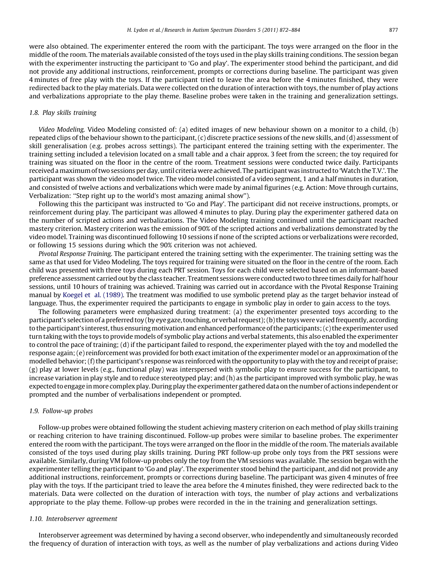were also obtained. The experimenter entered the room with the participant. The toys were arranged on the floor in the middle of the room. The materials available consisted of the toys used in the play skills training conditions. The session began with the experimenter instructing the participant to 'Go and play'. The experimenter stood behind the participant, and did not provide any additional instructions, reinforcement, prompts or corrections during baseline. The participant was given 4 minutes of free play with the toys. If the participant tried to leave the area before the 4 minutes finished, they were redirected back to the play materials. Data were collected on the duration of interaction with toys, the number of play actions and verbalizations appropriate to the play theme. Baseline probes were taken in the training and generalization settings.

### 1.8. Play skills training

Video Modeling. Video Modeling consisted of: (a) edited images of new behaviour shown on a monitor to a child, (b) repeated clips of the behaviour shown to the participant, (c) discrete practice sessions of the new skills, and (d) assessment of skill generalisation (e.g. probes across settings). The participant entered the training setting with the experimenter. The training setting included a television located on a small table and a chair approx. 3 feet from the screen; the toy required for training was situated on the floor in the centre of the room. Treatment sessions were conducted twice daily. Participants received amaximum of two sessions per day, until criteria were achieved. The participantwas instructed to 'Watch the T.V.'. The participant was shown the video model twice. The video model consisted of a video segment, 1 and a half minutes in duration, and consisted of twelve actions and verbalizations which were made by animal figurines (e.g. Action: Move through curtains, Verbalization: ''Step right up to the world's most amazing animal show'').

Following this the participant was instructed to 'Go and Play'. The participant did not receive instructions, prompts, or reinforcement during play. The participant was allowed 4 minutes to play. During play the experimenter gathered data on the number of scripted actions and verbalizations. The Video Modeling training continued until the participant reached mastery criterion. Mastery criterion was the emission of 90% of the scripted actions and verbalizations demonstrated by the video model. Training was discontinued following 10 sessions if none of the scripted actions or verbalizations were recorded, or following 15 sessions during which the 90% criterion was not achieved.

Pivotal Response Training. The participant entered the training setting with the experimenter. The training setting was the same as that used for Video Modeling. The toys required for training were situated on the floor in the centre of the room. Each child was presented with three toys during each PRT session. Toys for each child were selected based on an informant-based preference assessment carried out by the class teacher. Treatment sessions were conducted two to three times daily for half hour sessions, until 10 hours of training was achieved. Training was carried out in accordance with the Pivotal Response Training manual by [Koegel et al. \(1989\)](#page-13-0). The treatment was modified to use symbolic pretend play as the target behavior instead of language. Thus, the experimenter required the participants to engage in symbolic play in order to gain access to the toys.

The following parameters were emphasized during treatment: (a) the experimenter presented toys according to the participant's selection of a preferred toy (by eye gaze, touching, or verbal request); (b) the toyswere varied frequently, according to the participant's interest, thus ensuring motivation and enhanced performance of the participants; (c) the experimenter used turn taking with the toys to provide models of symbolic play actions and verbal statements, this also enabled the experimenter to control the pace of training; (d) if the participant failed to respond, the experimenter played with the toy and modelled the response again; (e) reinforcement was provided for both exact imitation of the experimenter model or an approximation of the modelled behavior; (f) the participant's response was reinforced with the opportunity to play with the toy and receipt of praise; (g) play at lower levels (e.g., functional play) was interspersed with symbolic play to ensure success for the participant, to increase variation in play style and to reduce stereotyped play; and (h) as the participant improved with symbolic play, he was expected to engage inmore complex play. During play the experimenter gathered data on the number of actions independent or prompted and the number of verbalisations independent or prompted.

#### 1.9. Follow-up probes

Follow-up probes were obtained following the student achieving mastery criterion on each method of play skills training or reaching criterion to have training discontinued. Follow-up probes were similar to baseline probes. The experimenter entered the room with the participant. The toys were arranged on the floor in the middle of the room. The materials available consisted of the toys used during play skills training. During PRT follow-up probe only toys from the PRT sessions were available. Similarly, during VM follow-up probes only the toy from the VM sessions was available. The session began with the experimenter telling the participant to 'Go and play'. The experimenter stood behind the participant, and did not provide any additional instructions, reinforcement, prompts or corrections during baseline. The participant was given 4 minutes of free play with the toys. If the participant tried to leave the area before the 4 minutes finished, they were redirected back to the materials. Data were collected on the duration of interaction with toys, the number of play actions and verbalizations appropriate to the play theme. Follow-up probes were recorded in the in the training and generalization settings.

#### 1.10. Interobserver agreement

Interobserver agreement was determined by having a second observer, who independently and simultaneously recorded the frequency of duration of interaction with toys, as well as the number of play verbalizations and actions during Video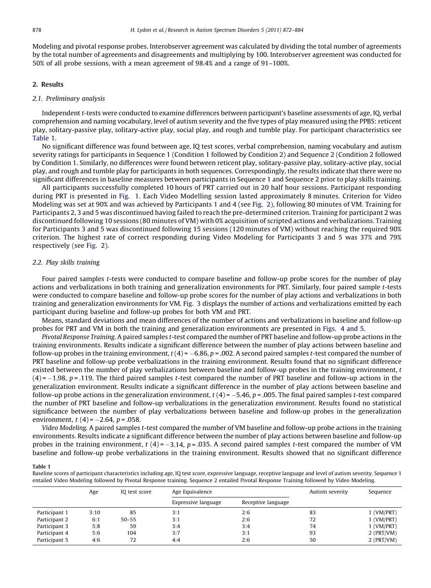Modeling and pivotal response probes. Interobserver agreement was calculated by dividing the total number of agreements by the total number of agreements and disagreements and multiplying by 100. Interobserver agreement was conducted for 50% of all probe sessions, with a mean agreement of 98.4% and a range of 91–100%.

#### 2. Results

#### 2.1. Preliminary analysis

Independent t-tests were conducted to examine differences between participant's baseline assessments of age, IQ, verbal comprehension and naming vocabulary, level of autism severity and the five types of play measured using the PPBS: reticent play, solitary-passive play, solitary-active play, social play, and rough and tumble play. For participant characteristics see Table 1.

No significant difference was found between age, IQ test scores, verbal comprehension, naming vocabulary and autism severity ratings for participants in Sequence 1 (Condition 1 followed by Condition 2) and Sequence 2 (Condition 2 followed by Condition 1. Similarly, no differences were found between reticent play, solitary-passive play, solitary-active play, social play, and rough and tumble play for participants in both sequences. Correspondingly, the results indicate that there were no significant differences in baseline measures between participants in Sequence 1 and Sequence 2 prior to play skills training.

All participants successfully completed 10 hours of PRT carried out in 20 half hour sessions. Participant responding during PRT is presented in [Fig. 1.](#page-8-0) Each Video Modelling session lasted approximately 8 minutes. Criterion for Video Modeling was set at 90% and was achieved by Participants 1 and 4 (see [Fig. 2\)](#page-9-0), following 80 minutes of VM. Training for Participants 2, 3 and 5 was discontinued having failed to reach the pre-determined criterion. Training for participant 2 was discontinued following 10 sessions (80 minutes of VM) with 0% acquisition of scripted actions and verbalizations. Training for Participants 3 and 5 was discontinued following 15 sessions (120 minutes of VM) without reaching the required 90% criterion. The highest rate of correct responding during Video Modeling for Participants 3 and 5 was 37% and 79% respectively (see [Fig. 2\)](#page-9-0).

#### 2.2. Play skills training

Four paired samples t-tests were conducted to compare baseline and follow-up probe scores for the number of play actions and verbalizations in both training and generalization environments for PRT. Similarly, four paired sample t-tests were conducted to compare baseline and follow-up probe scores for the number of play actions and verbalizations in both training and generalization environments for VM. [Fig. 3](#page-10-0) displays the number of actions and verbalizations emitted by each participant during baseline and follow-up probes for both VM and PRT.

Means, standard deviations and mean differences of the number of actions and verbalizations in baseline and follow-up probes for PRT and VM in both the training and generalization environments are presented in [Figs. 4 and 5.](#page-11-0)

Pivotal Response Training. A paired samples t-test compared the number of PRT baseline and follow-up probe actions in the training environments. Results indicate a significant difference between the number of play actions between baseline and follow-up probes in the training environment,  $t$  (4) = –6.86, p = .002. A second paired samples t-test compared the number of PRT baseline and follow-up probe verbalizations in the training environment. Results found that no significant difference existed between the number of play verbalizations between baseline and follow-up probes in the training environment,  $t$ (4) = -1.98, p = .119. The third paired samples t-test compared the number of PRT baseline and follow-up actions in the generalization environment. Results indicate a significant difference in the number of play actions between baseline and follow-up probe actions in the generalization environment,  $t$  (4) = -5.46, p = .005. The final paired samples t-test compared the number of PRT baseline and follow-up verbalizations in the generalization environment. Results found no statistical significance between the number of play verbalizations between baseline and follow-up probes in the generalization environment,  $t(4) = -2.64$ ,  $p = .058$ .

Video Modeling. A paired samples t-test compared the number of VM baseline and follow-up probe actions in the training environments. Results indicate a significant difference between the number of play actions between baseline and follow-up probes in the training environment,  $t$  (4) =  $-3.14$ , p = .035. A second paired samples t-test compared the number of VM baseline and follow-up probe verbalizations in the training environment. Results showed that no significant difference

Table 1

Baseline scores of participant characteristics including age, IQ test score, expressive language, receptive language and level of autism severity. Sequence 1 entailed Video Modeling followed by Pivotal Response training. Sequence 2 entailed Pivotal Response Training followed by Video Modeling.

|               | Age  | IQ test score | Age Equivalence     |                    | Autism severity | Sequence     |
|---------------|------|---------------|---------------------|--------------------|-----------------|--------------|
|               |      |               | Expressive language | Receptive language |                 |              |
| Participant 1 | 3:10 | 85            | 3:1                 | 2:6                | 83              | 1 (VM/PRT)   |
| Participant 2 | 6:1  | $50 - 55$     | 3:1                 | 2:6                | 72              | 1 (VM/PRT)   |
| Participant 3 | 5:8  | 59            | 3:4                 | 3:4                | 74              | 1 (VM/PRT)   |
| Participant 4 | 5:6  | 104           | 3:7                 | 3:1                | 93              | $2$ (PRT/VM) |
| Participant 5 | 4:6  | 72            | 4:4                 | 2:6                | 50              | $2$ (PRT/VM) |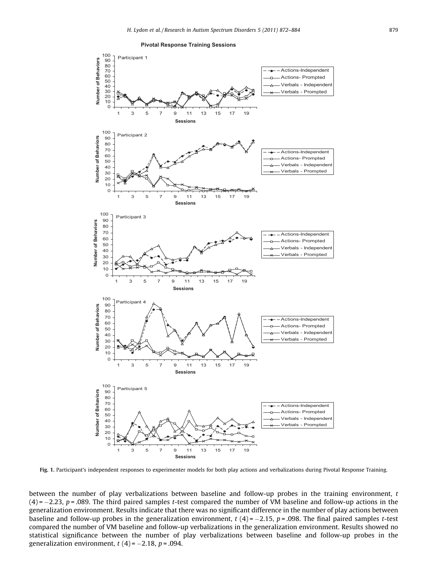

<span id="page-8-0"></span>

Fig. 1. Participant's independent responses to experimenter models for both play actions and verbalizations during Pivotal Response Training.

between the number of play verbalizations between baseline and follow-up probes in the training environment, t (4)= $-2.23$ , p=.089. The third paired samples t-test compared the number of VM baseline and follow-up actions in the generalization environment. Results indicate that there was no significant difference in the number of play actions between baseline and follow-up probes in the generalization environment, t  $(4)$  =  $-2.15$ , p = .098. The final paired samples t-test compared the number of VM baseline and follow-up verbalizations in the generalization environment. Results showed no statistical significance between the number of play verbalizations between baseline and follow-up probes in the generalization environment, *t* (4)= –2.18, *p* = .094.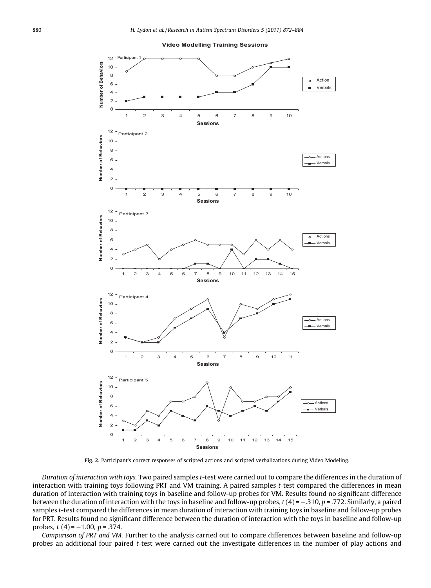<span id="page-9-0"></span>

Fig. 2. Participant's correct responses of scripted actions and scripted verbalizations during Video Modeling.

Duration of interaction with toys. Two paired samples t-test were carried out to compare the differences in the duration of interaction with training toys following PRT and VM training. A paired samples t-test compared the differences in mean duration of interaction with training toys in baseline and follow-up probes for VM. Results found no significant difference between the duration of interaction with the toys in baseline and follow-up probes,  $t(4)$  =  $-310$ , p = .772. Similarly, a paired samples t-test compared the differences in mean duration of interaction with training toys in baseline and follow-up probes for PRT. Results found no significant difference between the duration of interaction with the toys in baseline and follow-up probes,  $t(4) = -1.00$ ,  $p = .374$ .

Comparison of PRT and VM. Further to the analysis carried out to compare differences between baseline and follow-up probes an additional four paired t-test were carried out the investigate differences in the number of play actions and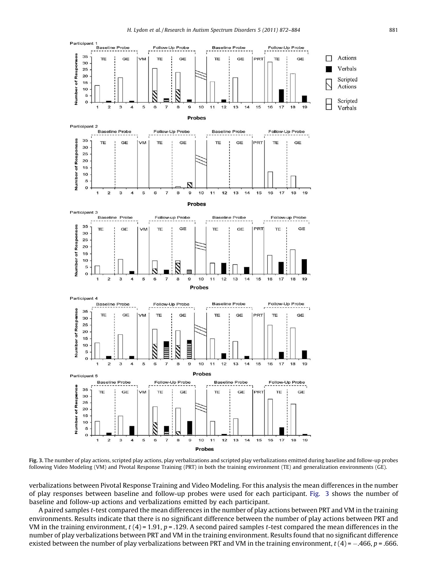<span id="page-10-0"></span>

Fig. 3. The number of play actions, scripted play actions, play verbalizations and scripted play verbalizations emitted during baseline and follow-up probes following Video Modeling (VM) and Pivotal Response Training (PRT) in both the training environment (TE) and generalization environments (GE).

verbalizations between Pivotal Response Training and Video Modeling. For this analysis the mean differences in the number of play responses between baseline and follow-up probes were used for each participant. Fig. 3 shows the number of baseline and follow-up actions and verbalizations emitted by each participant.

A paired samples t-test compared the mean differences in the number of play actions between PRT and VM in the training environments. Results indicate that there is no significant difference between the number of play actions between PRT and VM in the training environment,  $t$  (4) = 1.91, p = .129. A second paired samples t-test compared the mean differences in the number of play verbalizations between PRT and VM in the training environment. Results found that no significant difference existed between the number of play verbalizations between PRT and VM in the training environment, t (4) =  $-.466$ , p = .666.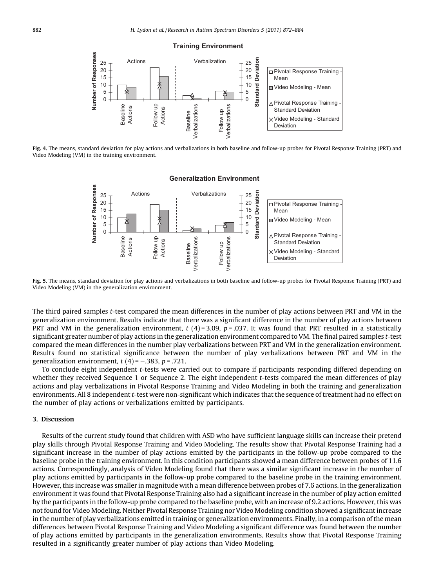

<span id="page-11-0"></span>

Fig. 4. The means, standard deviation for play actions and verbalizations in both baseline and follow-up probes for Pivotal Response Training (PRT) and Video Modeling (VM) in the training environment.



#### **Generalization Environment**

Fig. 5. The means, standard deviation for play actions and verbalizations in both baseline and follow-up probes for Pivotal Response Training (PRT) and Video Modeling (VM) in the generalization environment.

The third paired samples t-test compared the mean differences in the number of play actions between PRT and VM in the generalization environment. Results indicate that there was a significant difference in the number of play actions between PRT and VM in the generalization environment,  $t$  (4) = 3.09, p = .037. It was found that PRT resulted in a statistically significant greater number of play actions in the generalization environment compared to VM. The final paired samples t-test compared the mean differences in the number play verbalizations between PRT and VM in the generalization environment. Results found no statistical significance between the number of play verbalizations between PRT and VM in the generalization environment,  $t(4)$ = –.383,  $p$  = .721.

To conclude eight independent t-tests were carried out to compare if participants responding differed depending on whether they received Sequence 1 or Sequence 2. The eight independent *t*-tests compared the mean differences of play actions and play verbalizations in Pivotal Response Training and Video Modeling in both the training and generalization environments. All 8 independent t-test were non-significant which indicates that the sequence of treatment had no effect on the number of play actions or verbalizations emitted by participants.

## 3. Discussion

Results of the current study found that children with ASD who have sufficient language skills can increase their pretend play skills through Pivotal Response Training and Video Modeling. The results show that Pivotal Response Training had a significant increase in the number of play actions emitted by the participants in the follow-up probe compared to the baseline probe in the training environment. In this condition participants showed a mean difference between probes of 11.6 actions. Correspondingly, analysis of Video Modeling found that there was a similar significant increase in the number of play actions emitted by participants in the follow-up probe compared to the baseline probe in the training environment. However, this increase was smaller in magnitude with a mean difference between probes of 7.6 actions. In the generalization environment it was found that Pivotal Response Training also had a significant increase in the number of play action emitted by the participants in the follow-up probe compared to the baseline probe, with an increase of 9.2 actions. However, this was not found for Video Modeling. Neither Pivotal Response Training nor Video Modeling condition showed a significant increase in the number of play verbalizations emitted in training or generalization environments. Finally, in a comparison of the mean differences between Pivotal Response Training and Video Modeling a significant difference was found between the number of play actions emitted by participants in the generalization environments. Results show that Pivotal Response Training resulted in a significantly greater number of play actions than Video Modeling.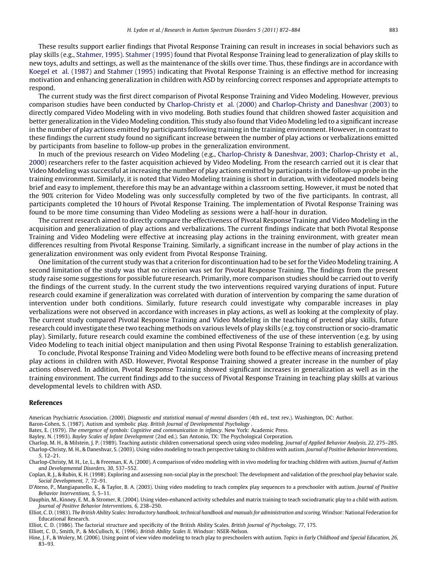<span id="page-12-0"></span>These results support earlier findings that Pivotal Response Training can result in increases in social behaviors such as play skills (e.g., [Stahmer, 1995\)](#page-13-0). [Stahmer \(1995\)](#page-13-0) found that Pivotal Response Training lead to generalization of play skills to new toys, adults and settings, as well as the maintenance of the skills over time. Thus, these findings are in accordance with [Koegel et al. \(1987\)](#page-13-0) and [Stahmer \(1995\)](#page-13-0) indicating that Pivotal Response Training is an effective method for increasing motivation and enhancing generalization in children with ASD by reinforcing correct responses and appropriate attempts to respond.

The current study was the first direct comparison of Pivotal Response Training and Video Modeling. However, previous comparison studies have been conducted by Charlop-Christy et al. (2000) and Charlop-Christy and Daneshvar (2003) to directly compared Video Modeling with in vivo modeling. Both studies found that children showed faster acquisition and better generalization in the Video Modeling condition. This study also found that Video Modeling led to a significant increase in the number of play actions emitted by participants following training in the training environment. However, in contrast to these findings the current study found no significant increase between the number of play actions or verbalizations emitted by participants from baseline to follow-up probes in the generalization environment.

In much of the previous research on Video Modeling (e.g., Charlop-Christy & Daneshvar, 2003; Charlop-Christy et al., 2000) researchers refer to the faster acquisition achieved by Video Modeling. From the research carried out it is clear that Video Modeling was successful at increasing the number of play actions emitted by participants in the follow-up probe in the training environment. Similarly, it is noted that Video Modeling training is short in duration, with videotaped models being brief and easy to implement, therefore this may be an advantage within a classroom setting. However, it must be noted that the 90% criterion for Video Modeling was only successfully completed by two of the five participants. In contrast, all participants completed the 10 hours of Pivotal Response Training. The implementation of Pivotal Response Training was found to be more time consuming than Video Modeling as sessions were a half-hour in duration.

The current research aimed to directly compare the effectiveness of Pivotal Response Training and Video Modeling in the acquisition and generalization of play actions and verbalizations. The current findings indicate that both Pivotal Response Training and Video Modeling were effective at increasing play actions in the training environment, with greater mean differences resulting from Pivotal Response Training. Similarly, a significant increase in the number of play actions in the generalization environment was only evident from Pivotal Response Training.

One limitation of the current study was that a criterion for discontinuation had to be set for the Video Modeling training. A second limitation of the study was that no criterion was set for Pivotal Response Training. The findings from the present study raise some suggestions for possible future research. Primarily, more comparison studies should be carried out to verify the findings of the current study. In the current study the two interventions required varying durations of input. Future research could examine if generalization was correlated with duration of intervention by comparing the same duration of intervention under both conditions. Similarly, future research could investigate why comparable increases in play verbalizations were not observed in accordance with increases in play actions, as well as looking at the complexity of play. The current study compared Pivotal Response Training and Video Modeling in the teaching of pretend play skills, future research could investigate these two teaching methods on various levels of play skills (e.g. toy construction or socio-dramatic play). Similarly, future research could examine the combined effectiveness of the use of these intervention (e.g. by using Video Modeling to teach initial object manipulation and then using Pivotal Response Training to establish generalization.

To conclude, Pivotal Response Training and Video Modeling were both found to be effective means of increasing pretend play actions in children with ASD. However, Pivotal Response Training showed a greater increase in the number of play actions observed. In addition, Pivotal Response Training showed significant increases in generalization as well as in the training environment. The current findings add to the success of Pivotal Response Training in teaching play skills at various developmental levels to children with ASD.

#### References

American Psychiatric Association. (2000). Diagnostic and statistical manual of mental disorders (4th ed., text rev.). Washington, DC: Author.

Baron-Cohen, S. (1987). Autism and symbolic play. British Journal of Developmental Psychology .

- Bates, E. (1979). The emergence of symbols: Cognitive and communication in infancy. New York: Academic Press.
- Bayley, N. (1993). Bayley Scales of Infant Development (2nd ed.). San Antonio, TX: The Psychological Corporation.
- Charlop, M. H., & Milstein, J. P. (1989). Teaching autistic children conversational speech using video modeling. Journal of Applied Behavior Analysis, 22, 275–285. Charlop-Christy, M. H., & Daneshvar, S. (2003). Using video modeling to teach perspective taking to children with autism. Journal of Positive Behavior Interventions, 5, 12–21.

Coplan, R. J., & Rubin, K. H. (1998). Exploring and assessing non-social play in the preschool: The development and validation of the preschool play behavior scale. Social Development, 7, 72–91.

D'Ateno, P., Mangiapanello, K., & Taylor, B. A. (2003). Using video modeling to teach complex play sequences to a preschooler with autism. Journal of Positive Behavior Interventions, 5, 5–11.

Dauphin, M., Kinney, E. M., & Stromer, R. (2004). Using video-enhanced activity schedules and matrix training to teach sociodramatic play to a child with autism. Journal of Positive Behavior Interventions, 6, 238–250.

Elliot, C. D. (1983). The British Ability Scales: Introductory handbook, technical handbook and manuals for administration and scoring. Windsor: National Federation for Educational Research.

- Elliot, C. D. (1986). The factorial structure and specificity of the British Ability Scales. British Journal of Psychology, 77, 175.
- Elliott, C. D., Smith, P., & McCulloch, K. (1996). British Ability Scales II. Windsor: NSER-Nelson.

Hine, J. F., & Wolery, M. (2006). Using point of view video modeling to teach play to preschoolers with autism. Topics in Early Childhood and Special Education, 26, 83–93.

Charlop-Christy, M. H., Le, L., & Freeman, K. A. (2000). A comparison of video modeling with in vivo modeling for teaching children with autism. Journal of Autism and Developmental Disorders, 30, 537–552.